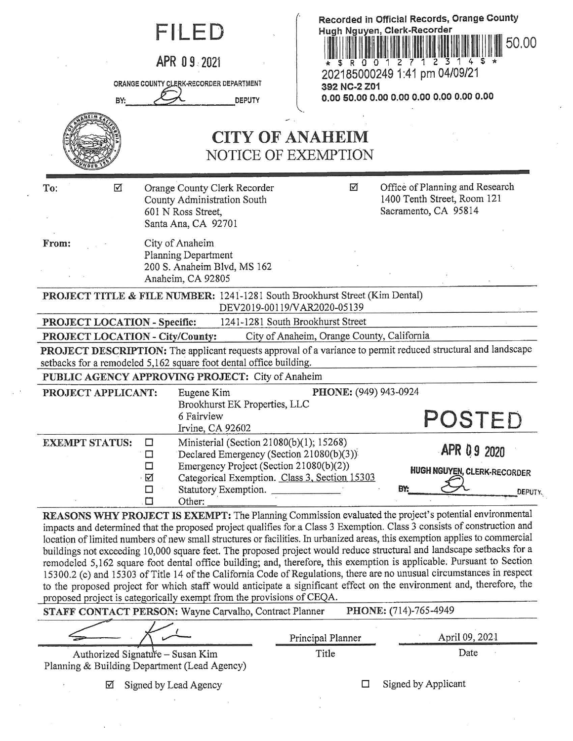| BY:                                                                                                        | FILED<br>APR 09 2021<br>ORANGE COUNTY CLERK-RECORDER DEPARTMENT<br><b>DEPUTY</b><br><b>CITY OF ANAHEIM</b><br>NOTICE OF EXEMPTION                                                                                                                          | Recorded in Official Records, Orange County<br>Hugh Nguyen, Clerk-Recorder<br>1 2 3<br>R 0 0 1 2 7<br>202185000249 1:41 pm 04/09/21<br>392 NC-2 Z01                                                                                                                                                                                                                                                                                                                                                                                                                                                                                                                                                                                           | 50.00          |  |  |
|------------------------------------------------------------------------------------------------------------|------------------------------------------------------------------------------------------------------------------------------------------------------------------------------------------------------------------------------------------------------------|-----------------------------------------------------------------------------------------------------------------------------------------------------------------------------------------------------------------------------------------------------------------------------------------------------------------------------------------------------------------------------------------------------------------------------------------------------------------------------------------------------------------------------------------------------------------------------------------------------------------------------------------------------------------------------------------------------------------------------------------------|----------------|--|--|
| $\overline{\mathbf{M}}$<br>To:                                                                             | Orange County Clerk Recorder<br>County Administration South<br>601 N Ross Street,<br>Santa Ana, CA 92701                                                                                                                                                   | Office of Planning and Research<br>☑<br>1400 Tenth Street, Room 121<br>Sacramento, CA 95814                                                                                                                                                                                                                                                                                                                                                                                                                                                                                                                                                                                                                                                   |                |  |  |
| From:                                                                                                      | City of Anaheim<br>Planning Department<br>200 S. Anaheim Blvd, MS 162<br>Anaheim, CA 92805                                                                                                                                                                 |                                                                                                                                                                                                                                                                                                                                                                                                                                                                                                                                                                                                                                                                                                                                               |                |  |  |
| PROJECT TITLE & FILE NUMBER: 1241-1281 South Brookhurst Street (Kim Dental)<br>DEV2019-00119/VAR2020-05139 |                                                                                                                                                                                                                                                            |                                                                                                                                                                                                                                                                                                                                                                                                                                                                                                                                                                                                                                                                                                                                               |                |  |  |
| PROJECT LOCATION - Specific:                                                                               | 1241-1281 South Brookhurst Street                                                                                                                                                                                                                          |                                                                                                                                                                                                                                                                                                                                                                                                                                                                                                                                                                                                                                                                                                                                               |                |  |  |
| PROJECT LOCATION - City/County:                                                                            |                                                                                                                                                                                                                                                            | City of Anaheim, Orange County, California                                                                                                                                                                                                                                                                                                                                                                                                                                                                                                                                                                                                                                                                                                    |                |  |  |
|                                                                                                            |                                                                                                                                                                                                                                                            | PROJECT DESCRIPTION: The applicant requests approval of a variance to permit reduced structural and landscape                                                                                                                                                                                                                                                                                                                                                                                                                                                                                                                                                                                                                                 |                |  |  |
|                                                                                                            | setbacks for a remodeled 5,162 square foot dental office building.                                                                                                                                                                                         |                                                                                                                                                                                                                                                                                                                                                                                                                                                                                                                                                                                                                                                                                                                                               |                |  |  |
|                                                                                                            | PUBLIC AGENCY APPROVING PROJECT: City of Anaheim                                                                                                                                                                                                           |                                                                                                                                                                                                                                                                                                                                                                                                                                                                                                                                                                                                                                                                                                                                               |                |  |  |
| PROJECT APPLICANT:                                                                                         | Eugene Kim<br>Brookhurst EK Properties, LLC<br>6 Fairview<br>Irvine, CA 92602                                                                                                                                                                              | PHONE: (949) 943-0924<br>POSTED                                                                                                                                                                                                                                                                                                                                                                                                                                                                                                                                                                                                                                                                                                               |                |  |  |
| <b>EXEMPT STATUS:</b>                                                                                      | Ministerial (Section 21080(b)(1); 15268)<br>□<br>Declared Emergency (Section 21080(b)(3))<br>□<br>Emergency Project (Section 21080(b)(2))<br>□<br>Categorical Exemption. Class 3, Section 15303<br>☑<br>$\Box$<br>Statutory Exemption.<br>$\Box$<br>Other: | APR 09 2020<br><b>HUGH NGUYEN, CLERK-RECORDER</b><br>BY:                                                                                                                                                                                                                                                                                                                                                                                                                                                                                                                                                                                                                                                                                      | <b>DEPUTY.</b> |  |  |
|                                                                                                            |                                                                                                                                                                                                                                                            | REASONS WHY PROJECT IS EXEMPT: The Planning Commission evaluated the project's potential environmental<br>impacts and determined that the proposed project qualifies for a Class 3 Exemption. Class 3 consists of construction and<br>location of limited numbers of new small structures or facilities. In urbanized areas, this exemption applies to commercial<br>buildings not exceeding 10,000 square feet. The proposed project would reduce structural and landscape setbacks for a<br>remodeled 5,162 square foot dental office building; and, therefore, this exemption is applicable. Pursuant to Section<br>15300.2 (c) and 15303 of Title 14 of the California Code of Regulations, there are no unusual circumstances in respect |                |  |  |

| proposed project is categorically exempt from the provisions of CEQA.<br>STAFF CONTACT PERSON: Wayne Carvalho, Contract Planner |                   | PHONE: (714)-765-4949 |
|---------------------------------------------------------------------------------------------------------------------------------|-------------------|-----------------------|
|                                                                                                                                 | Principal Planner | April 09, 2021        |
| Authorized Signature - Susan Kim<br>아버지 아이는 그 아버지가 아이들이 아이들이 아이들이 아이들이 아니는 것을 만들어 보니 그는 그만 없다.                                  | Title             | Date                  |

to the proposed project for which staff would anticipate a significant effect on the environment and, therefore, the

Planning & Building Department (Lead Agency)

 $\alpha$ 

0 Signed by Lead Agency □ Signed by Applicant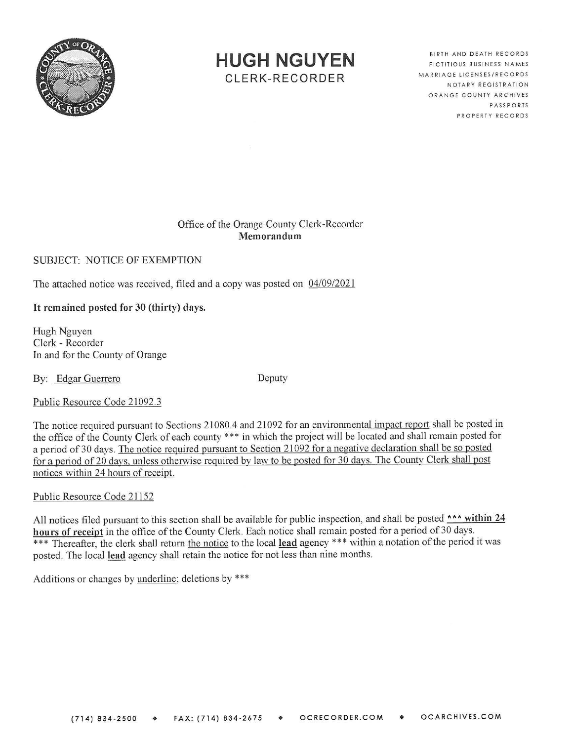

## **HUGH NGUYEN**

CLERK-RECORDER

BIRTH AND DEATH RECORDS FICTITIOUS BUSINESS NAMES MARRIAGE LICENSES/RECORDS NOTARY REGISTRATION ORANGE COUNTY ARCHIVES PASSPORTS PROPERTY RECORDS

## Office of the Orange County Clerk-Recorder **Memorandum**

SUBJECT: NOTICE OF EXEMPTION

The attached notice was received, filed and a copy was posted on  $04/09/2021$ 

**It remained posted for 30 (thirty) days.** 

Hugh Nguyen Clerk - Recorder In and for the County of Orange

By: Edgar Guerrero Deputy

Public Resource Code 21092.3

The notice required pursuant to Sections 21080.4 and 21092 for an environmental impact report shall be posted in the office of the County Clerk of each county \*\*\* in which the project will be located and shall remain posted for a period of 30 days. The notice required pursuant to Section 21092 for a negative declaration shall be so posted for a period of 20 davs. unless otherwise required bv law to be posted for 30 days. The County Clerk shall post notices within 24 hours of receipt.

Public Resource Code 21152

All notices filed pursuant to this section shall be available for public inspection, and shall be posted \*\*\* within 24 **hours of receipt** in the office of the County Clerk. Each notice shall remain posted for a period of 30 days. \*\*\* Thereafter, the clerk shall return the notice to the local lead agency \*\*\* within a notation of the period it was posted. The local lead agency shall retain the notice for not less than nine months.

Additions or changes by underline; deletions by \*\*\*